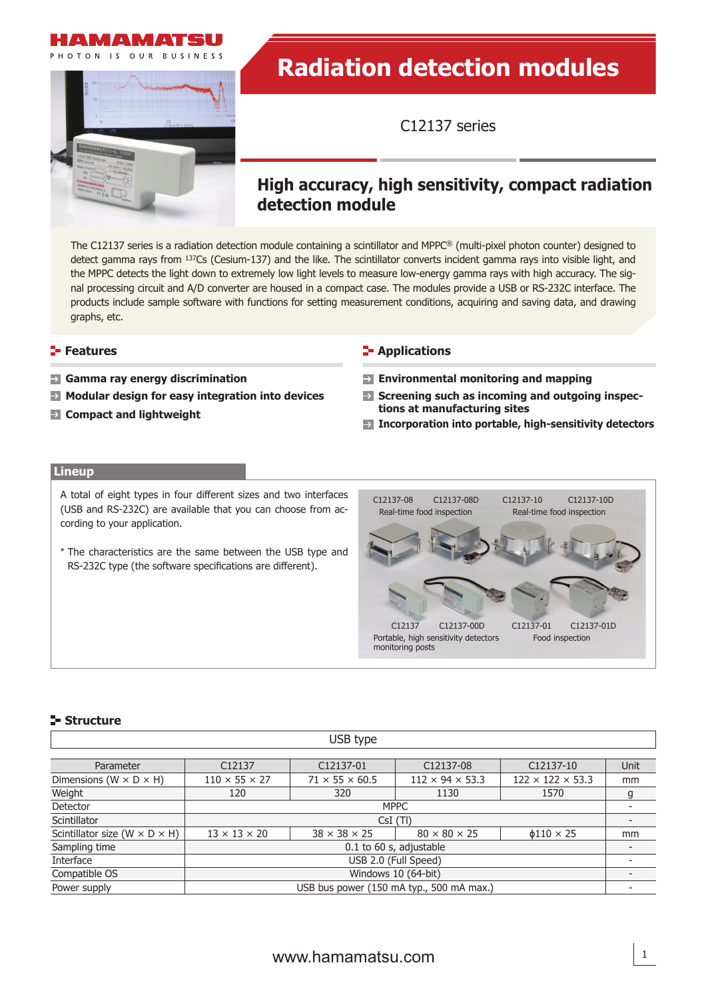



# **Radiation detection modules**

C12137 series

# **High accuracy, high sensitivity, compact radiation detection module**

The C12137 series is a radiation detection module containing a scintillator and MPPC® (multi-pixel photon counter) designed to detect gamma rays from 137Cs (Cesium-137) and the like. The scintillator converts incident gamma rays into visible light, and the MPPC detects the light down to extremely low light levels to measure low-energy gamma rays with high accuracy. The signal processing circuit and A/D converter are housed in a compact case. The modules provide a USB or RS-232C interface. The products include sample software with functions for setting measurement conditions, acquiring and saving data, and drawing graphs, etc.

- 
- **Modular design for easy integration into devices**
- 

#### **Features Contract Contract Contract Contract Contract Contract Contract Contract Contract Contract Contract Contract Contract Contract Contract Contract Contract Contract Contract Contract Contract Contract Contract Con**

- **Gamma ray energy discrimination Environmental monitoring and mapping**
	- **Screening such as incoming and outgoing inspections at manufacturing sites**
- **Incorporation into portable, high-sensitivity detectors Compact and lightweight**

#### **Lineup**

A total of eight types in four different sizes and two interfaces (USB and RS-232C) are available that you can choose from according to your application.

\* The characteristics are the same between the USB type and RS-232C type (the software specifications are different).



#### **Structure**

|                                             |                           | USB type                   |                                          |                              |      |
|---------------------------------------------|---------------------------|----------------------------|------------------------------------------|------------------------------|------|
|                                             |                           |                            |                                          |                              |      |
| Parameter                                   | C12137                    | C12137-01                  | C12137-08                                | C12137-10                    | Unit |
| Dimensions ( $W \times D \times H$ )        | $110 \times 55 \times 27$ | $71 \times 55 \times 60.5$ | $112 \times 94 \times 53.3$              | $122 \times 122 \times 53.3$ | mm   |
| Weight                                      | 120                       | 320                        | 1130                                     | 1570                         | g    |
| Detector                                    |                           |                            | <b>MPPC</b>                              |                              |      |
| Scintillator                                |                           |                            | CsI(TI)                                  |                              |      |
| Scintillator size (W $\times$ D $\times$ H) | $13 \times 13 \times 20$  | $38 \times 38 \times 25$   | $80 \times 80 \times 25$                 | $\phi$ 110 $\times$ 25       | mm   |
| Sampling time                               |                           |                            | 0.1 to 60 s, adjustable                  |                              |      |
| Interface                                   |                           |                            | USB 2.0 (Full Speed)                     |                              |      |
| Compatible OS                               |                           |                            | Windows 10 (64-bit)                      |                              |      |
| Power supply                                |                           |                            | USB bus power (150 mA typ., 500 mA max.) |                              |      |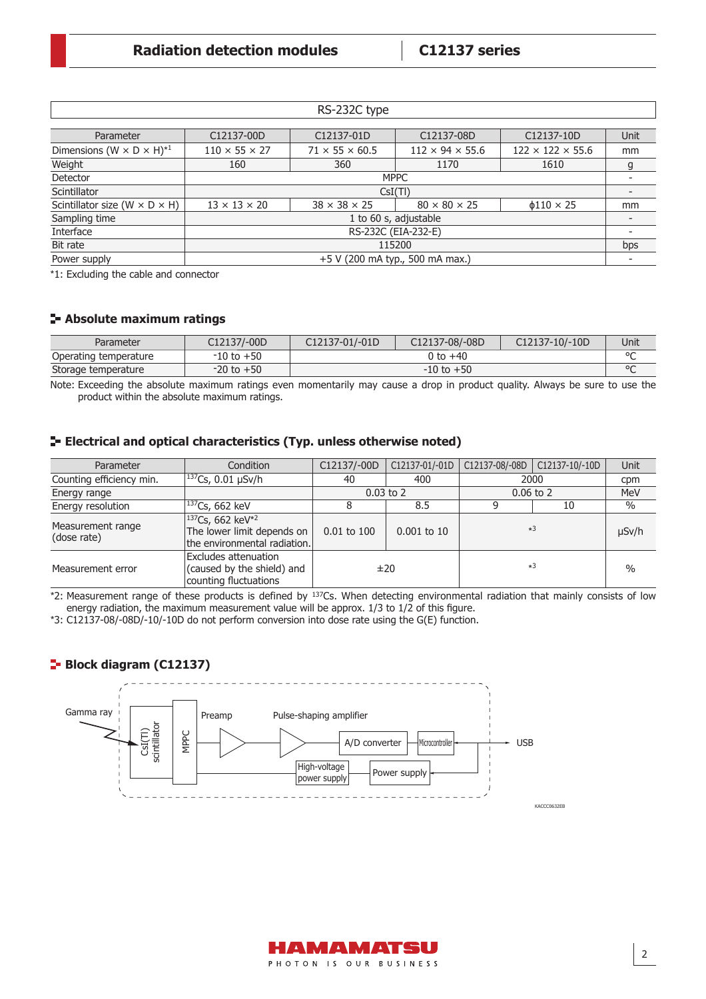|                                                    |                           | RS-232C type               |                                 |                              |             |
|----------------------------------------------------|---------------------------|----------------------------|---------------------------------|------------------------------|-------------|
|                                                    |                           |                            |                                 |                              |             |
| Parameter                                          | C12137-00D                | C12137-01D                 | C12137-08D                      | C12137-10D                   | <b>Unit</b> |
| Dimensions ( $W \times D \times H$ ) <sup>*1</sup> | $110 \times 55 \times 27$ | $71 \times 55 \times 60.5$ | $112 \times 94 \times 55.6$     | $122 \times 122 \times 55.6$ | mm          |
| Weight                                             | 160                       | 360                        | 1170                            | 1610                         | g           |
| Detector                                           |                           |                            | <b>MPPC</b>                     |                              |             |
| Scintillator                                       |                           | CsI(TI)                    |                                 |                              |             |
| Scintillator size (W $\times$ D $\times$ H)        | $13 \times 13 \times 20$  | $38 \times 38 \times 25$   | $80 \times 80 \times 25$        | $\phi$ 110 $\times$ 25       | mm          |
| Sampling time                                      |                           |                            | 1 to 60 s, adjustable           |                              |             |
| Interface                                          |                           | RS-232C (EIA-232-E)        |                                 |                              |             |
| Bit rate                                           |                           |                            | 115200                          |                              | bps         |
| Power supply                                       |                           |                            | +5 V (200 mA typ., 500 mA max.) |                              |             |

\*1: Excluding the cable and connector

#### **Absolute maximum ratings**

| Parameter             | C12137/-00D    | C12137-01/-01D | C12137-08/-08D | C12137-10/-10D | Unit   |
|-----------------------|----------------|----------------|----------------|----------------|--------|
| Operating temperature | $-10$ to $+50$ |                | 0 to +40       |                | $\sim$ |
| Storage temperature   | $-20$ to $+50$ |                | $-10$ to $+50$ |                | $\sim$ |

Note: Exceeding the absolute maximum ratings even momentarily may cause a drop in product quality. Always be sure to use the product within the absolute maximum ratings.

#### **Electrical and optical characteristics (Typ. unless otherwise noted)**

| Parameter                        | Condition                                                                                              | C12137/-00D     | C12137-01/-01D | C12137-08/-08D | C12137-10/-10D | Unit          |
|----------------------------------|--------------------------------------------------------------------------------------------------------|-----------------|----------------|----------------|----------------|---------------|
| Counting efficiency min.         | $ ^{137}$ Cs, 0.01 µSv/h                                                                               | 40              | 400            |                | 2000           | cpm           |
| Energy range                     |                                                                                                        |                 | $0.03$ to 2    |                | $0.06$ to $2$  | MeV           |
| Energy resolution                | $ ^{137}$ Cs, 662 keV                                                                                  |                 | 8.5            |                | 10             | $\%$          |
| Measurement range<br>(dose rate) | <sup>137</sup> Cs, 662 keV <sup>*2</sup><br>The lower limit depends on<br>the environmental radiation. | $0.01$ to $100$ | $0.001$ to 10  | $*3$           |                | $\mu$ Sv/h    |
| Measurement error                | Excludes attenuation<br>(caused by the shield) and<br>counting fluctuations                            |                 | ±20            | $*3$           |                | $\frac{0}{0}$ |

\*2: Measurement range of these products is defined by 137Cs. When detecting environmental radiation that mainly consists of low energy radiation, the maximum measurement value will be approx.  $1/3$  to  $1/2$  of this figure.

\*3: C12137-08/-08D/-10/-10D do not perform conversion into dose rate using the G(E) function.

#### **Block diagram (C12137)**



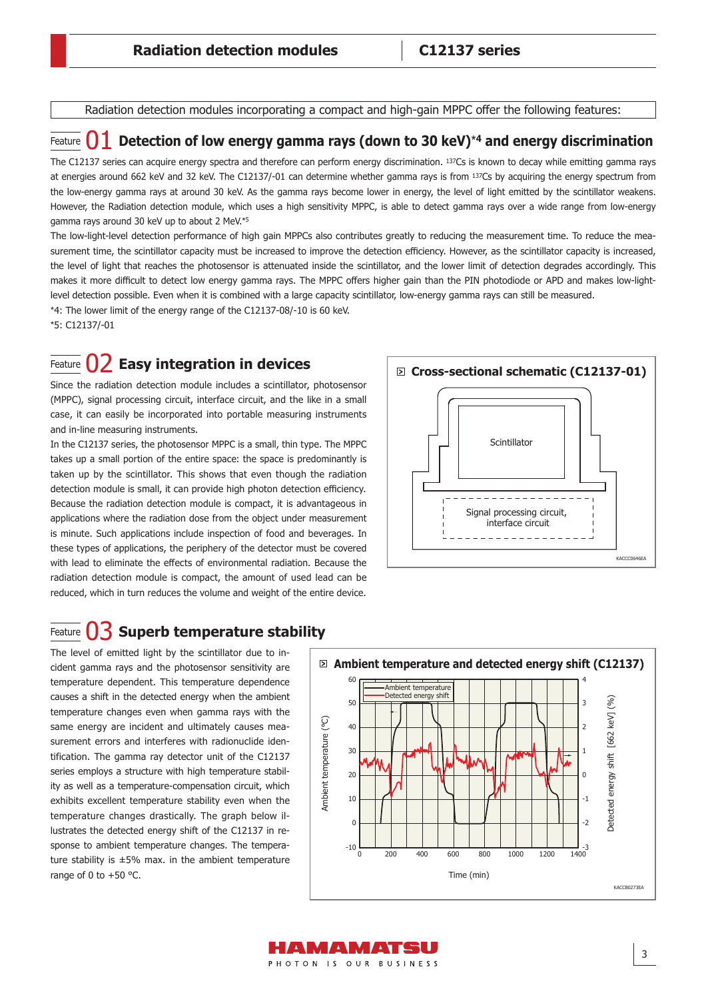Radiation detection modules incorporating a compact and high-gain MPPC offer the following features:

### Feature **() 1** Detection of low energy gamma rays (down to 30 keV)<sup>\*4</sup> and energy discrimination

The C12137 series can acquire energy spectra and therefore can perform energy discrimination. 137Cs is known to decay while emitting gamma rays at energies around 662 keV and 32 keV. The C12137/-01 can determine whether gamma rays is from 137Cs by acquiring the energy spectrum from the low-energy gamma rays at around 30 keV. As the gamma rays become lower in energy, the level of light emitted by the scintillator weakens. However, the Radiation detection module, which uses a high sensitivity MPPC, is able to detect gamma rays over a wide range from low-energy gamma rays around 30 keV up to about 2 MeV.\*<sup>5</sup>

The low-light-level detection performance of high gain MPPCs also contributes greatly to reducing the measurement time. To reduce the measurement time, the scintillator capacity must be increased to improve the detection efficiency. However, as the scintillator capacity is increased, the level of light that reaches the photosensor is attenuated inside the scintillator, and the lower limit of detection degrades accordingly. This makes it more difficult to detect low energy gamma rays. The MPPC offers higher gain than the PIN photodiode or APD and makes low-lightlevel detection possible. Even when it is combined with a large capacity scintillator, low-energy gamma rays can still be measured.

\*4: The lower limit of the energy range of the C12137-08/-10 is 60 keV. \*5: C12137/-01

# Feature 02 **Easy integration in devices**

#### Since the radiation detection module includes a scintillator, photosensor (MPPC), signal processing circuit, interface circuit, and the like in a small case, it can easily be incorporated into portable measuring instruments and in-line measuring instruments.

In the C12137 series, the photosensor MPPC is a small, thin type. The MPPC takes up a small portion of the entire space: the space is predominantly is taken up by the scintillator. This shows that even though the radiation detection module is small, it can provide high photon detection efficiency. Because the radiation detection module is compact, it is advantageous in applications where the radiation dose from the object under measurement is minute. Such applications include inspection of food and beverages. In these types of applications, the periphery of the detector must be covered with lead to eliminate the effects of environmental radiation. Because the radiation detection module is compact, the amount of used lead can be reduced, which in turn reduces the volume and weight of the entire device.



# Feature 03 **Superb temperature stability**

The level of emitted light by the scintillator due to incident gamma rays and the photosensor sensitivity are temperature dependent. This temperature dependence causes a shift in the detected energy when the ambient temperature changes even when gamma rays with the same energy are incident and ultimately causes measurement errors and interferes with radionuclide identification. The gamma ray detector unit of the C12137 series employs a structure with high temperature stability as well as a temperature-compensation circuit, which exhibits excellent temperature stability even when the temperature changes drastically. The graph below illustrates the detected energy shift of the C12137 in response to ambient temperature changes. The temperature stability is  $\pm 5\%$  max. in the ambient temperature range of 0 to  $+50$  °C.



HANMANIATSU PHOTON IS OUR BUSINESS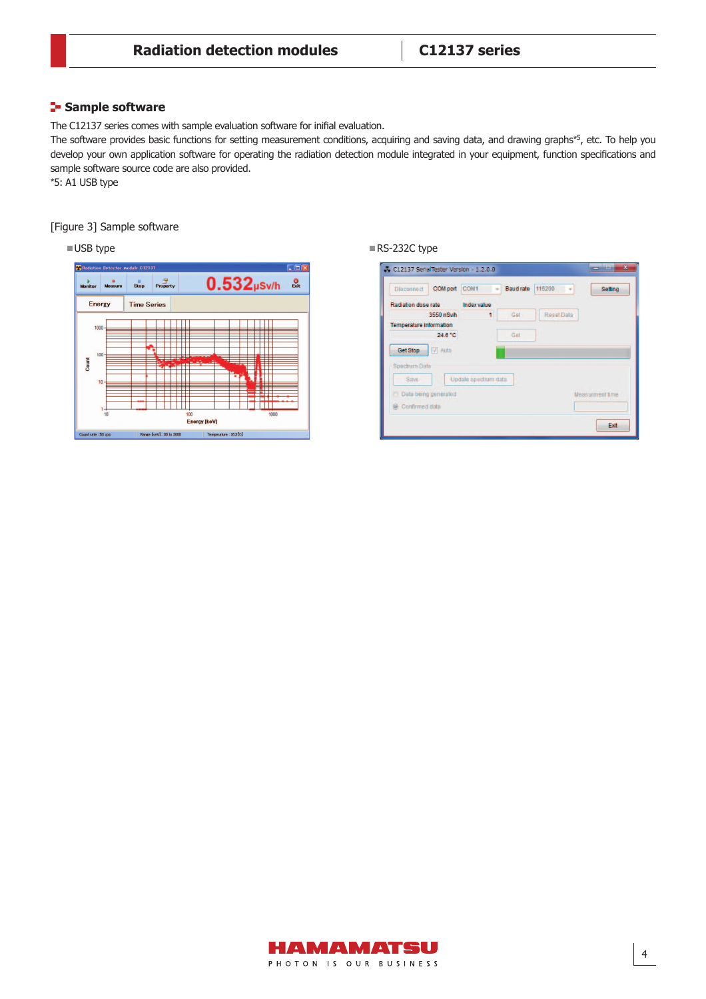#### **Sample software**

The C12137 series comes with sample evaluation software for inifial evaluation.

The software provides basic functions for setting measurement conditions, acquiring and saving data, and drawing graphs\*5, etc. To help you develop your own application software for operating the radiation detection module integrated in your equipment, function specifications and sample software source code are also provided.

\*5: A1 USB type

#### [Figure 3] Sample software



■ USB type RS-232C type

| COM port COM1<br><b>Disconnect</b> |                      | <b>Baud rate</b> | 115200<br>$\overline{ }$ | Setting                |
|------------------------------------|----------------------|------------------|--------------------------|------------------------|
| Radiation dose rate                | Index value          |                  |                          |                        |
| 3550 nSv/h                         | 1                    | Get              | <b>Reset Data</b>        |                        |
| <b>Temperature information</b>     |                      |                  |                          |                        |
| 24.6 °C                            |                      | Get              |                          |                        |
| <b>Get Stop</b><br>V Auto          |                      |                  |                          |                        |
| <b>Spectrum Data</b>               |                      |                  |                          |                        |
| Save                               | Update spectrum data |                  |                          |                        |
| Data being generated               |                      |                  |                          | <b>Measurment time</b> |
| Confirmed data                     |                      |                  |                          |                        |

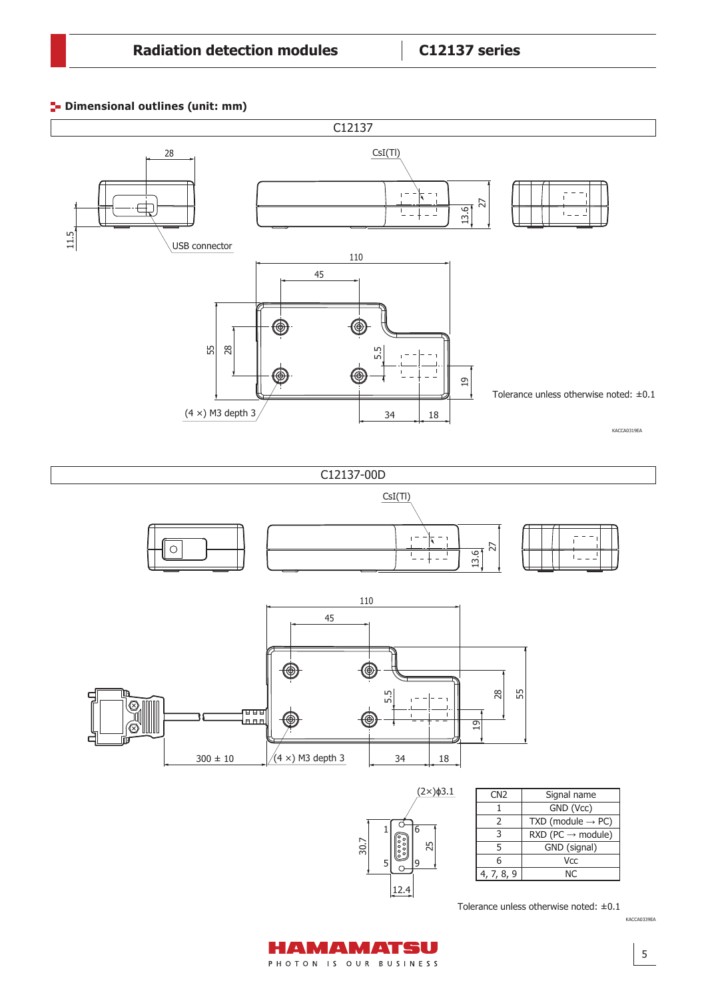**Dimensional outlines (unit: mm)**





KACCA0339EA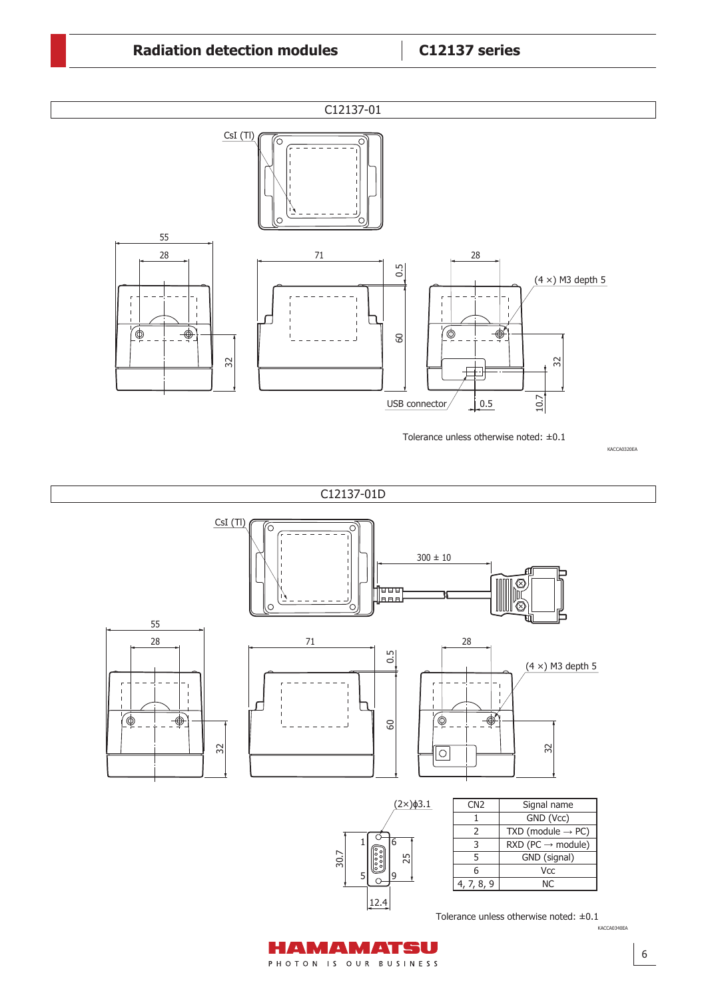

Tolerance unless otherwise noted: ±0.1

KACCA0320EA

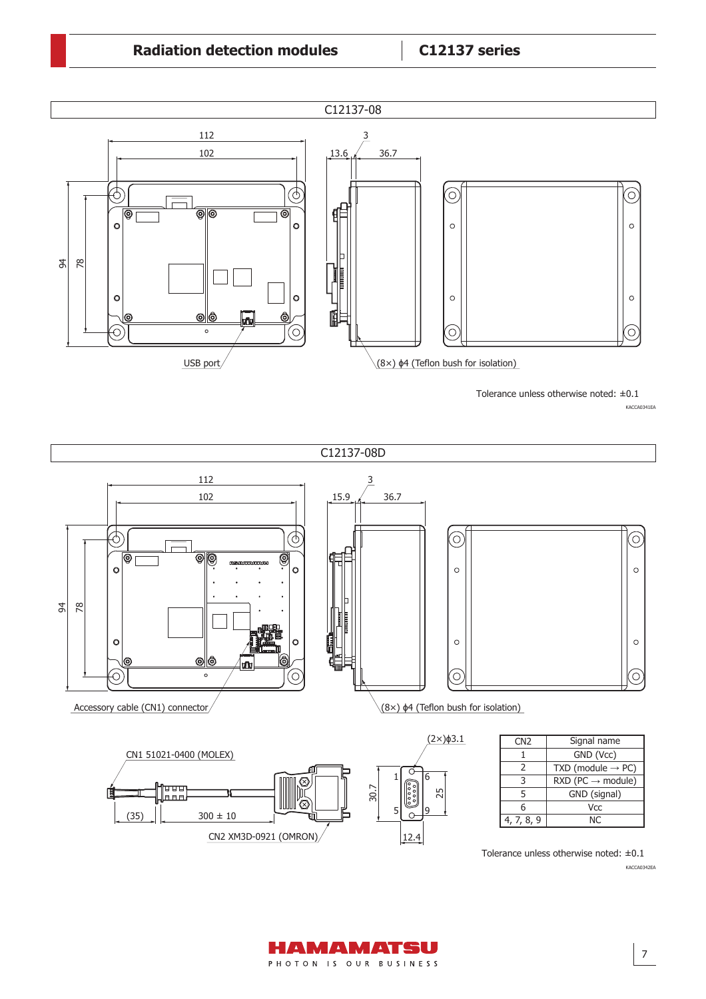## **Radiation detection modules C12137 series**



KACCA0341EA Tolerance unless otherwise noted: ±0.1



AMAMATSU PHOTON IS OUR BUSINESS KACCA0342EA

7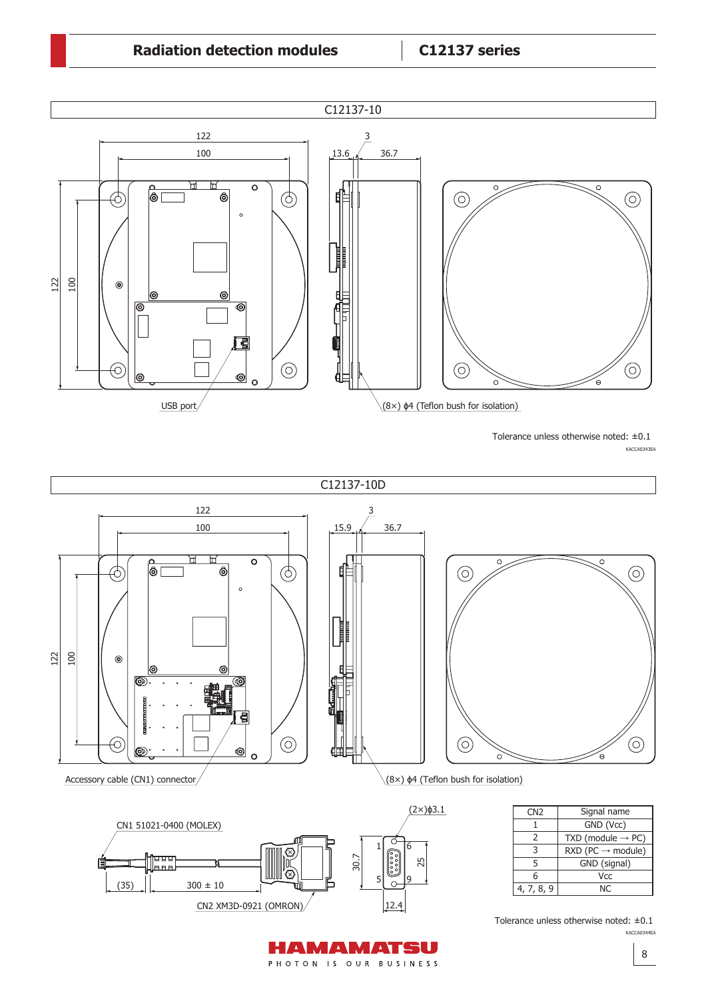

Tolerance unless otherwise noted: ±0.1

KACCA0343EA